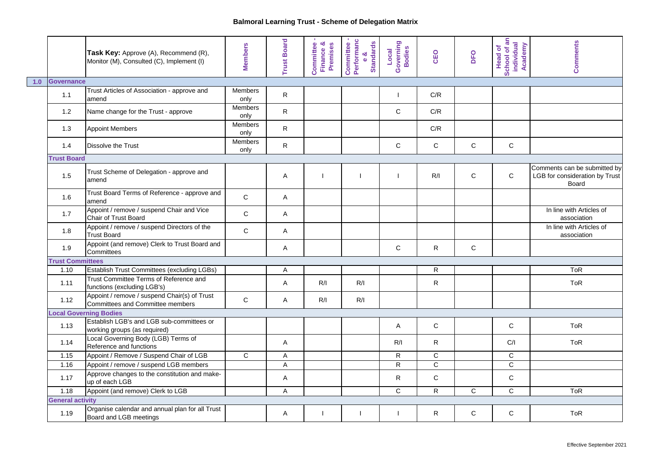|     |                         | Task Key: Approve (A), Recommend (R),<br>Monitor (M), Consulted (C), Implement (I) | <b>Members</b>         | <b>Trust Board</b>      | ٠<br>Committee<br>Finance &<br>Premises | Committee -<br>Performanc<br>e &<br>Standards | Governing<br>Bodies<br>Local | CEO            | DFO          | School of an<br>individual<br>Academy<br><b>Head of</b> | <b>Comments</b>                                                         |
|-----|-------------------------|------------------------------------------------------------------------------------|------------------------|-------------------------|-----------------------------------------|-----------------------------------------------|------------------------------|----------------|--------------|---------------------------------------------------------|-------------------------------------------------------------------------|
| 1.0 | <b>Governance</b>       |                                                                                    |                        |                         |                                         |                                               |                              |                |              |                                                         |                                                                         |
|     | 1.1                     | Trust Articles of Association - approve and<br>amend                               | <b>Members</b><br>only | R                       |                                         |                                               |                              | C/R            |              |                                                         |                                                                         |
|     | 1.2                     | Name change for the Trust - approve                                                | Members<br>only        | R                       |                                         |                                               | $\mathsf C$                  | C/R            |              |                                                         |                                                                         |
|     | 1.3                     | <b>Appoint Members</b>                                                             | <b>Members</b><br>only | $\mathsf R$             |                                         |                                               |                              | C/R            |              |                                                         |                                                                         |
|     | 1.4                     | <b>Dissolve the Trust</b>                                                          | <b>Members</b><br>only | ${\sf R}$               |                                         |                                               | $\mathsf C$                  | $\mathbf C$    | $\mathsf{C}$ | $\mathsf{C}$                                            |                                                                         |
|     | <b>Trust Board</b>      |                                                                                    |                        |                         |                                         |                                               |                              |                |              |                                                         |                                                                         |
|     | 1.5                     | Trust Scheme of Delegation - approve and<br>amend                                  |                        | Α                       |                                         |                                               |                              | R/I            | $\mathsf{C}$ | $\mathsf{C}$                                            | Comments can be submitted by<br>LGB for consideration by Trust<br>Board |
|     | 1.6                     | Trust Board Terms of Reference - approve and<br>amend                              | $\mathbf C$            | A                       |                                         |                                               |                              |                |              |                                                         |                                                                         |
|     | 1.7                     | Appoint / remove / suspend Chair and Vice<br><b>Chair of Trust Board</b>           | $\mathsf C$            | A                       |                                         |                                               |                              |                |              |                                                         | In line with Articles of<br>association                                 |
|     | 1.8                     | Appoint / remove / suspend Directors of the<br><b>Trust Board</b>                  | $\mathsf C$            | A                       |                                         |                                               |                              |                |              |                                                         | In line with Articles of<br>association                                 |
|     | 1.9                     | Appoint (and remove) Clerk to Trust Board and<br>Committees                        |                        | A                       |                                         |                                               | $\mathsf C$                  | $\mathsf{R}$   | $\mathsf{C}$ |                                                         |                                                                         |
|     | <b>Trust Committees</b> |                                                                                    |                        |                         |                                         |                                               |                              |                |              |                                                         |                                                                         |
|     | 1.10                    | Establish Trust Committees (excluding LGBs)                                        |                        | A                       |                                         |                                               |                              | R              |              |                                                         | <b>ToR</b>                                                              |
|     | 1.11                    | Trust Committee Terms of Reference and<br>functions (excluding LGB's)              |                        | A                       | R/I                                     | R/I                                           |                              | $\mathsf{R}$   |              |                                                         | <b>ToR</b>                                                              |
|     | 1.12                    | Appoint / remove / suspend Chair(s) of Trust<br>Committees and Committee members   | $\mathsf{C}$           | Α                       | R/I                                     | R/I                                           |                              |                |              |                                                         |                                                                         |
|     |                         | <b>Local Governing Bodies</b>                                                      |                        |                         |                                         |                                               |                              |                |              |                                                         |                                                                         |
|     | 1.13                    | Establish LGB's and LGB sub-committees or<br>working groups (as required)          |                        |                         |                                         |                                               | A                            | $\mathsf{C}$   |              | $\mathsf{C}$                                            | <b>ToR</b>                                                              |
|     | 1.14                    | Local Governing Body (LGB) Terms of<br>Reference and functions                     |                        | A                       |                                         |                                               | R/I                          | ${\sf R}$      |              | C/I                                                     | <b>ToR</b>                                                              |
|     | 1.15                    | Appoint / Remove / Suspend Chair of LGB                                            | $\overline{C}$         | $\overline{\mathsf{A}}$ |                                         |                                               | $\mathsf{R}$                 | $\mathsf{C}$   |              | $\mathbf C$                                             |                                                                         |
|     | 1.16                    | Appoint / remove / suspend LGB members                                             |                        | $\sf A$                 |                                         |                                               | $\mathsf{R}$                 | $\overline{c}$ |              | $\overline{c}$                                          |                                                                         |
|     | 1.17                    | Approve changes to the constitution and make-<br>up of each LGB                    |                        | Α                       |                                         |                                               | $\mathsf{R}$                 | $\mathbf C$    |              | $\mathbf C$                                             |                                                                         |
|     | 1.18                    | Appoint (and remove) Clerk to LGB                                                  |                        | $\overline{A}$          |                                         |                                               | $\mathsf C$                  | $\mathsf{R}$   | $\mathsf{C}$ | $\mathsf{C}$                                            | <b>ToR</b>                                                              |
|     | <b>General activity</b> |                                                                                    |                        |                         |                                         |                                               |                              |                |              |                                                         |                                                                         |
|     | 1.19                    | Organise calendar and annual plan for all Trust<br>Board and LGB meetings          |                        | Α                       |                                         |                                               |                              | R              | $\mathsf{C}$ | $\mathsf{C}$                                            | <b>ToR</b>                                                              |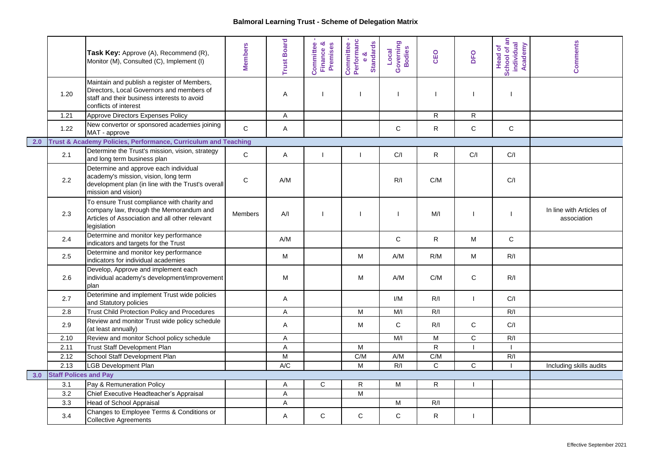|     |                              | Task Key: Approve (A), Recommend (R),<br>Monitor (M), Consulted (C), Implement (I)                                                                               | <b>Members</b> | <b>Trust Board</b> | Committee<br>య<br><b>Premises</b><br>Finance | Committee -<br>Performanc<br>e &<br>Standards | Governing<br>Bodies<br>Local | CEO          | DFO            | School of an<br>individual<br>Academy<br><b>Head of</b> | <b>Comments</b>                         |
|-----|------------------------------|------------------------------------------------------------------------------------------------------------------------------------------------------------------|----------------|--------------------|----------------------------------------------|-----------------------------------------------|------------------------------|--------------|----------------|---------------------------------------------------------|-----------------------------------------|
|     | 1.20                         | Maintain and publish a register of Members,<br>Directors, Local Governors and members of<br>staff and their business interests to avoid<br>conflicts of interest |                | Α                  | $\mathbf{I}$                                 |                                               | $\blacksquare$               |              |                | T                                                       |                                         |
|     | 1.21                         | Approve Directors Expenses Policy                                                                                                                                |                | A                  |                                              |                                               |                              | R            | $\mathsf{R}$   |                                                         |                                         |
|     | 1.22                         | New convertor or sponsored academies joining<br>MAT - approve                                                                                                    | $\mathsf{C}$   | A                  |                                              |                                               | C                            | R            | $\mathbf C$    | $\mathbf C$                                             |                                         |
| 2.0 |                              | Trust & Academy Policies, Performance, Curriculum and Teaching                                                                                                   |                |                    |                                              |                                               |                              |              |                |                                                         |                                         |
|     | 2.1                          | Determine the Trust's mission, vision, strategy<br>and long term business plan                                                                                   | $\mathsf C$    | Α                  | J.                                           |                                               | C/I                          | R            | C/I            | C/I                                                     |                                         |
|     | 2.2                          | Determine and approve each individual<br>academy's mission, vision, long term<br>development plan (in line with the Trust's overall<br>mission and vision)       | C              | A/M                |                                              |                                               | R/I                          | C/M          |                | C/I                                                     |                                         |
|     | 2.3                          | To ensure Trust compliance with charity and<br>company law, through the Memorandum and<br>Articles of Association and all other relevant<br>legislation          | Members        | A/I                | $\mathbf{I}$                                 |                                               | H                            | M/I          |                |                                                         | In line with Articles of<br>association |
|     | 2.4                          | Determine and monitor key performance<br>indicators and targets for the Trust                                                                                    |                | A/M                |                                              |                                               | $\mathsf{C}$                 | R            | м              | $\mathsf C$                                             |                                         |
|     | 2.5                          | Determine and monitor key performance<br>indicators for individual academies                                                                                     |                | М                  |                                              | M                                             | A/M                          | R/M          | M              | R/I                                                     |                                         |
|     | 2.6                          | Develop, Approve and implement each<br>individual academy's development/improvement<br>plan                                                                      |                | М                  |                                              | М                                             | A/M                          | C/M          | C              | R/I                                                     |                                         |
|     | 2.7                          | Deterimine and implement Trust wide policies<br>and Statutory policies                                                                                           |                | A                  |                                              |                                               | I/M                          | R/I          | $\mathbf{I}$   | C/I                                                     |                                         |
|     | 2.8                          | <b>Trust Child Protection Policy and Procedures</b>                                                                                                              |                | $\mathsf A$        |                                              | M                                             | M/I                          | R/I          |                | R/I                                                     |                                         |
|     | 2.9                          | Review and monitor Trust wide policy schedule<br>(at least annually)                                                                                             |                | A                  |                                              | M                                             | $\mathsf C$                  | R/I          | $\mathsf{C}$   | C/I                                                     |                                         |
|     | 2.10                         | Review and monitor School policy schedule                                                                                                                        |                | A                  |                                              |                                               | M/I                          | M            | $\mathbf C$    | R/I                                                     |                                         |
|     | 2.11                         | Trust Staff Development Plan                                                                                                                                     |                | A                  |                                              | M                                             |                              | $\mathsf{R}$ |                |                                                         |                                         |
|     | 2.12                         | School Staff Development Plan                                                                                                                                    |                | M                  |                                              | C/M                                           | A/M                          | C/M          |                | R/I                                                     |                                         |
|     | 2.13                         | <b>LGB Development Plan</b>                                                                                                                                      |                | A/C                |                                              | M                                             | R/I                          | $\mathsf{C}$ | $\overline{C}$ |                                                         | Including skills audits                 |
| 3.0 | <b>Staff Polices and Pay</b> |                                                                                                                                                                  |                |                    |                                              |                                               |                              |              |                |                                                         |                                         |
|     | 3.1                          | Pay & Remuneration Policy                                                                                                                                        |                | A                  | C                                            | R                                             | M                            | $\mathsf R$  |                |                                                         |                                         |
|     | $\overline{3.2}$             | Chief Executive Headteacher's Appraisal                                                                                                                          |                | $\overline{A}$     |                                              | $\overline{M}$                                |                              |              |                |                                                         |                                         |
|     | 3.3                          | <b>Head of School Appraisal</b>                                                                                                                                  |                | A                  |                                              |                                               | M                            | R/I          |                |                                                         |                                         |
|     | 3.4                          | Changes to Employee Terms & Conditions or<br><b>Collective Agreements</b>                                                                                        |                | Α                  | C                                            | C                                             | $\mathbf C$                  | R            |                |                                                         |                                         |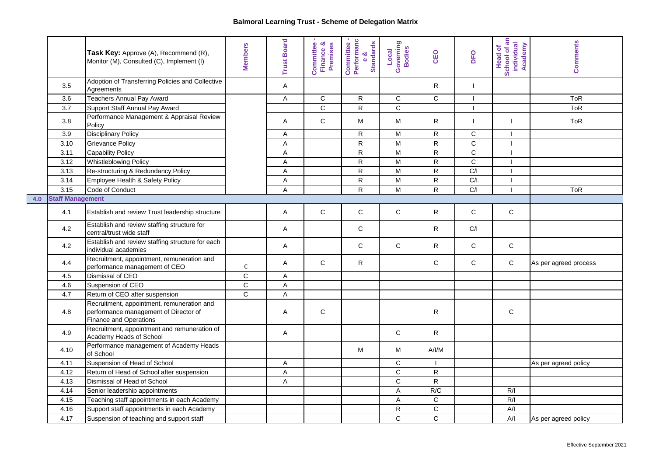|     |                         | Task Key: Approve (A), Recommend (R),<br>Monitor (M), Consulted (C), Implement (I)                            | <b>Members</b> | <b>Trust Board</b> | Committee<br>Finance &<br>Premises | Committee -<br>Performanc<br>e &<br>Standards | Governing<br>Bodies<br>Local | CEO            | DFO            | School of an<br>individual<br>Academy<br><b>Head of</b> | <b>Comments</b>       |
|-----|-------------------------|---------------------------------------------------------------------------------------------------------------|----------------|--------------------|------------------------------------|-----------------------------------------------|------------------------------|----------------|----------------|---------------------------------------------------------|-----------------------|
|     | 3.5                     | Adoption of Transferring Policies and Collective<br>Agreements                                                |                | A                  |                                    |                                               |                              | $\mathsf{R}$   | $\mathbf{I}$   |                                                         |                       |
|     | 3.6                     | <b>Teachers Annual Pay Award</b>                                                                              |                | Α                  | ${\bf C}$                          | R                                             | $\mathsf{C}$                 | $\mathbf C$    |                |                                                         | ToR                   |
|     | 3.7                     | Support Staff Annual Pay Award                                                                                |                |                    | $\overline{C}$                     | ${\sf R}$                                     | $\overline{c}$               |                |                |                                                         | <b>ToR</b>            |
|     | 3.8                     | Performance Management & Appraisal Review<br>Policy                                                           |                | A                  | $\mathsf{C}$                       | M                                             | M                            | R              |                | -1                                                      | <b>ToR</b>            |
|     | 3.9                     | <b>Disciplinary Policy</b>                                                                                    |                | A                  |                                    | $\mathsf{R}$                                  | M                            | ${\sf R}$      | $\overline{C}$ | -1                                                      |                       |
|     | 3.10                    | <b>Grievance Policy</b>                                                                                       |                | A                  |                                    | $\mathsf{R}$                                  | M                            | ${\sf R}$      | $\overline{c}$ | $\blacksquare$                                          |                       |
|     | 3.11                    | <b>Capability Policy</b>                                                                                      |                | $\sf A$            |                                    | $\mathsf{R}$                                  | M                            | ${\sf R}$      | $\mathbf C$    | -1                                                      |                       |
|     | 3.12                    | <b>Whistleblowing Policy</b>                                                                                  |                | Α                  |                                    | R                                             | M                            | $\mathsf R$    | C              |                                                         |                       |
|     | 3.13                    | Re-structuring & Redundancy Policy                                                                            |                | A                  |                                    | $\mathsf{R}$                                  | M                            | R              | C/I            | -1                                                      |                       |
|     | 3.14                    | Employee Health & Safety Policy                                                                               |                | A                  |                                    | $\mathsf{R}$                                  | M                            | $\mathsf{R}$   | C/I            |                                                         |                       |
|     | 3.15                    | Code of Conduct                                                                                               |                | $\overline{A}$     |                                    | $\mathsf{R}$                                  | M                            | $\mathsf{R}$   | C/I            |                                                         | <b>ToR</b>            |
| 4.0 | <b>Staff Management</b> |                                                                                                               |                |                    |                                    |                                               |                              |                |                |                                                         |                       |
|     | 4.1                     | Establish and review Trust leadership structure                                                               |                | A                  | C                                  | $\mathsf{C}$                                  | $\mathsf{C}$                 | R              | C              | ${\bf C}$                                               |                       |
|     | 4.2                     | Establish and review staffing structure for<br>central/trust wide staff                                       |                | Α                  |                                    | C                                             |                              | R              | C/I            |                                                         |                       |
|     | 4.2                     | Establish and review staffing structure for each<br>individual academies                                      |                | Α                  |                                    | C                                             | $\mathsf{C}$                 | R              | C              | $\mathsf{C}$                                            |                       |
|     | 4.4                     | Recruitment, appointment, remuneration and<br>performance management of CEO                                   | C              | Α                  | C                                  | $\mathsf{R}$                                  |                              | $\mathbf C$    | C              | $\mathbf C$                                             | As per agreed process |
|     | 4.5                     | Dismissal of CEO                                                                                              | $\overline{c}$ | A                  |                                    |                                               |                              |                |                |                                                         |                       |
|     | 4.6                     | Suspension of CEO                                                                                             | $\mathbf C$    | A                  |                                    |                                               |                              |                |                |                                                         |                       |
|     | 4.7                     | Return of CEO after suspension                                                                                | $\mathsf{C}$   | $\mathsf A$        |                                    |                                               |                              |                |                |                                                         |                       |
|     | 4.8                     | Recruitment, appointment, remuneration and<br>performance management of Director of<br>Finance and Operations |                | A                  | $\mathsf{C}$                       |                                               |                              | ${\sf R}$      |                | $\mathsf{C}$                                            |                       |
|     | 4.9                     | Recruitment, appointment and remuneration of<br>Academy Heads of School                                       |                | A                  |                                    |                                               | $\mathsf C$                  | R              |                |                                                         |                       |
|     | 4.10                    | Performance management of Academy Heads<br>of School                                                          |                |                    |                                    | М                                             | M                            | A/IM           |                |                                                         |                       |
|     | 4.11                    | Suspension of Head of School                                                                                  |                | A                  |                                    |                                               | $\mathsf{C}$                 |                |                |                                                         | As per agreed policy  |
|     | 4.12                    | Return of Head of School after suspension                                                                     |                | $\mathsf A$        |                                    |                                               | $\overline{c}$               | $\overline{R}$ |                |                                                         |                       |
|     | 4.13                    | Dismissal of Head of School                                                                                   |                | A                  |                                    |                                               | $\mathsf C$                  | ${\sf R}$      |                |                                                         |                       |
|     | 4.14                    | Senior leadership appointments                                                                                |                |                    |                                    |                                               | $\mathsf{A}$                 | R/C            |                | R/I                                                     |                       |
|     | 4.15                    | Teaching staff appointments in each Academy                                                                   |                |                    |                                    |                                               | A                            | $\mathsf C$    |                | R/I                                                     |                       |
|     | 4.16                    | Support staff appointments in each Academy                                                                    |                |                    |                                    |                                               | $\mathsf{R}$                 | $\overline{C}$ |                | A/I                                                     |                       |
|     | 4.17                    | Suspension of teaching and support staff                                                                      |                |                    |                                    |                                               | $\mathsf{C}$                 | $\mathsf{C}$   |                | A/I                                                     | As per agreed policy  |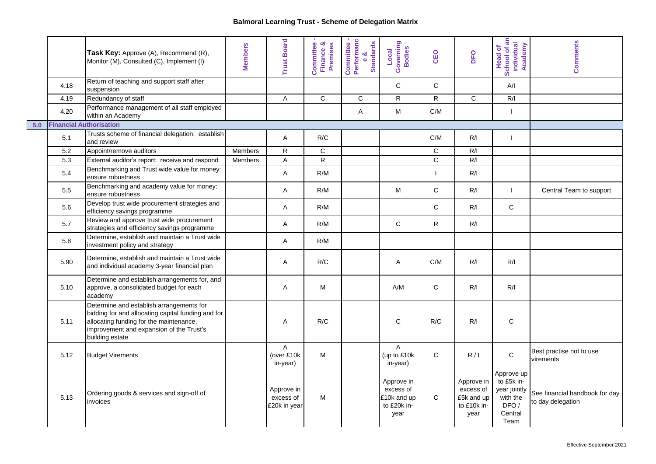|     |      | Task Key: Approve (A), Recommend (R),<br>Monitor (M), Consulted (C), Implement (I)                                                                                                                       | <b>Members</b> | <b>Trust Board</b>                      | න්<br>Committee<br>Premises<br>Finance & | Committee -<br>Performanc<br>e &<br>Standards | Governing<br>Bodies<br>Local                                  | CEO          | DFO                                                          | School of an<br>individual<br>Academy<br><b>Head of</b>                         | <b>Comments</b>                                     |
|-----|------|----------------------------------------------------------------------------------------------------------------------------------------------------------------------------------------------------------|----------------|-----------------------------------------|------------------------------------------|-----------------------------------------------|---------------------------------------------------------------|--------------|--------------------------------------------------------------|---------------------------------------------------------------------------------|-----------------------------------------------------|
|     | 4.18 | Return of teaching and support staff after<br>suspension                                                                                                                                                 |                |                                         |                                          |                                               | $\mathsf{C}$                                                  | $\mathsf{C}$ |                                                              | A/I                                                                             |                                                     |
|     | 4.19 | Redundancy of staff                                                                                                                                                                                      |                | Α                                       | C                                        | C                                             | $\mathsf{R}$                                                  | $\mathsf{R}$ | $\mathbf C$                                                  | R/I                                                                             |                                                     |
|     | 4.20 | Performance management of all staff employed<br>within an Academy                                                                                                                                        |                |                                         |                                          | Α                                             | M                                                             | C/M          |                                                              | -1                                                                              |                                                     |
| 5.0 |      | <b>Financial Authorisation</b>                                                                                                                                                                           |                |                                         |                                          |                                               |                                                               |              |                                                              |                                                                                 |                                                     |
|     | 5.1  | Trusts scheme of financial delegation: establish<br>and review                                                                                                                                           |                | Α                                       | R/C                                      |                                               |                                                               | C/M          | R/I                                                          | $\mathbf{I}$                                                                    |                                                     |
|     | 5.2  | Appoint/remove auditors                                                                                                                                                                                  | <b>Members</b> | $\mathsf{R}$                            | $\mathsf{C}$                             |                                               |                                                               | $\mathbf C$  | R/I                                                          |                                                                                 |                                                     |
|     | 5.3  | External auditor's report: receive and respond                                                                                                                                                           | Members        | A                                       | $\overline{R}$                           |                                               |                                                               | $\mathsf{C}$ | R/I                                                          |                                                                                 |                                                     |
|     | 5.4  | Benchmarking and Trust wide value for money:<br>ensure robustness                                                                                                                                        |                | Α                                       | R/M                                      |                                               |                                                               | $\mathbf{I}$ | R/I                                                          |                                                                                 |                                                     |
|     | 5.5  | Benchmarking and academy value for money:<br>ensure robustness                                                                                                                                           |                | A                                       | R/M                                      |                                               | M                                                             | $\mathsf{C}$ | R/I                                                          | $\mathbf{I}$                                                                    | Central Team to support                             |
|     | 5.6  | Develop trust wide procurement strategies and<br>efficiency savings programme                                                                                                                            |                | Α                                       | R/M                                      |                                               |                                                               | $\mathsf{C}$ | R/I                                                          | C                                                                               |                                                     |
|     | 5.7  | Review and approve trust wide procurement<br>strategies and efficiency savings programme                                                                                                                 |                | A                                       | R/M                                      |                                               | $\mathsf{C}$                                                  | $\mathsf{R}$ | R/I                                                          |                                                                                 |                                                     |
|     | 5.8  | Determine, establish and maintain a Trust wide<br>investment policy and strategy                                                                                                                         |                | Α                                       | R/M                                      |                                               |                                                               |              |                                                              |                                                                                 |                                                     |
|     | 5.90 | Determine, establish and maintain a Trust wide<br>and individual academy 3-year financial plan                                                                                                           |                | A                                       | R/C                                      |                                               | Α                                                             | C/M          | R/I                                                          | R/I                                                                             |                                                     |
|     | 5.10 | Determine and establish arrangements for, and<br>approve, a consolidated budget for each<br>academy                                                                                                      |                | Α                                       | M                                        |                                               | A/M                                                           | $\mathsf{C}$ | R/I                                                          | R/I                                                                             |                                                     |
|     | 5.11 | Determine and establish arrangements for<br>bidding for and allocating capital funding and for<br>allocating funding for the maintenance,<br>improvement and expansion of the Trust's<br>building estate |                | A                                       | R/C                                      |                                               | $\mathsf{C}$                                                  | R/C          | R/I                                                          | $\mathsf{C}$                                                                    |                                                     |
|     | 5.12 | <b>Budget Virements</b>                                                                                                                                                                                  |                | A<br>(over £10k<br>in-year)             | М                                        |                                               | Α<br>(up to £10k<br>in-year)                                  | $\mathbf C$  | R/I                                                          | $\mathbf C$                                                                     | Best practise not to use<br>virements               |
|     | 5.13 | Ordering goods & services and sign-off of<br>invoices                                                                                                                                                    |                | Approve in<br>excess of<br>£20k in year | M                                        |                                               | Approve in<br>excess of<br>£10k and up<br>to £20k in-<br>year | C            | Approve in<br>excess of<br>£5k and up<br>to £10k in-<br>year | Approve up<br>to £5k in-<br>year jointly<br>with the<br>DFO/<br>Central<br>Team | See financial handbook for day<br>to day delegation |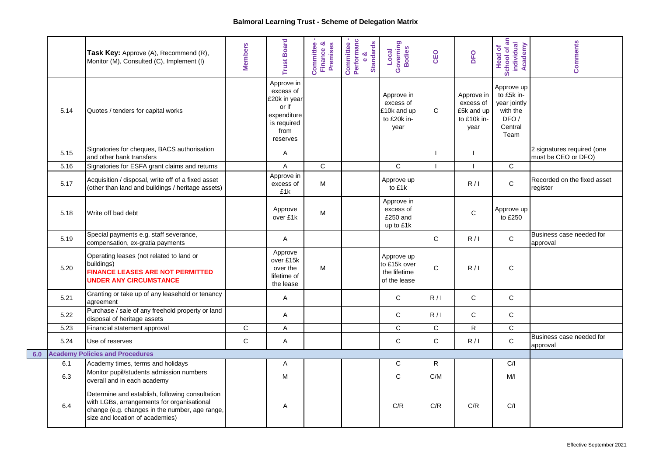|     |      | Task Key: Approve (A), Recommend (R),<br>Monitor (M), Consulted (C), Implement (I)                                                                                                 | <b>Members</b> | rust Board                                                                                         | න්<br>Committee<br>Premises<br><b>Finance</b> | Committee -<br>Performanc<br>e &<br>Standards | Governing<br>Bodies<br>Local                                  | CEO          | DFO                                                          | School of an<br>individual<br>Academy<br><b>Head of</b>                         | <b>Comments</b>                                   |
|-----|------|------------------------------------------------------------------------------------------------------------------------------------------------------------------------------------|----------------|----------------------------------------------------------------------------------------------------|-----------------------------------------------|-----------------------------------------------|---------------------------------------------------------------|--------------|--------------------------------------------------------------|---------------------------------------------------------------------------------|---------------------------------------------------|
|     | 5.14 | Quotes / tenders for capital works                                                                                                                                                 |                | Approve in<br>excess of<br>£20k in year<br>or if<br>expenditure<br>is required<br>from<br>reserves |                                               |                                               | Approve in<br>excess of<br>£10k and up<br>to £20k in-<br>year | $\mathsf{C}$ | Approve in<br>excess of<br>£5k and up<br>to £10k in-<br>year | Approve up<br>to £5k in-<br>year jointly<br>with the<br>DFO/<br>Central<br>Team |                                                   |
|     | 5.15 | Signatories for cheques, BACS authorisation<br>and other bank transfers                                                                                                            |                | A                                                                                                  |                                               |                                               |                                                               | T            |                                                              |                                                                                 | 2 signatures required (one<br>must be CEO or DFO) |
|     | 5.16 | Signatories for ESFA grant claims and returns                                                                                                                                      |                | A                                                                                                  | C                                             |                                               | $\mathsf{C}$                                                  | H            |                                                              | $\mathsf{C}$                                                                    |                                                   |
|     | 5.17 | Acquisition / disposal, write off of a fixed asset<br>(other than land and buildings / heritage assets)                                                                            |                | Approve in<br>excess of<br>£1k                                                                     | M                                             |                                               | Approve up<br>to £1k                                          |              | R/1                                                          | $\mathsf C$                                                                     | Recorded on the fixed asset<br>register           |
|     | 5.18 | Write off bad debt                                                                                                                                                                 |                | Approve<br>over £1k                                                                                | М                                             |                                               | Approve in<br>excess of<br>£250 and<br>up to £1k              |              | C                                                            | Approve up<br>to £250                                                           |                                                   |
|     | 5.19 | Special payments e.g. staff severance,<br>compensation, ex-gratia payments                                                                                                         |                | Α                                                                                                  |                                               |                                               |                                                               | $\mathsf{C}$ | R/I                                                          | $\mathbf C$                                                                     | Business case needed for<br>approval              |
|     | 5.20 | Operating leases (not related to land or<br>buildings)<br><b>FINANCE LEASES ARE NOT PERMITTED</b><br><b>UNDER ANY CIRCUMSTANCE</b>                                                 |                | Approve<br>over £15k<br>over the<br>lifetime of<br>the lease                                       | М                                             |                                               | Approve up<br>to £15k over<br>the lifetime<br>of the lease    | $\mathsf{C}$ | R/1                                                          | C                                                                               |                                                   |
|     | 5.21 | Granting or take up of any leasehold or tenancy<br>agreement                                                                                                                       |                | Α                                                                                                  |                                               |                                               | $\mathsf{C}$                                                  | R/I          | C                                                            | C                                                                               |                                                   |
|     | 5.22 | Purchase / sale of any freehold property or land<br>disposal of heritage assets                                                                                                    |                | A                                                                                                  |                                               |                                               | $\mathbf C$                                                   | R/1          | $\mathsf C$                                                  | $\mathsf C$                                                                     |                                                   |
|     | 5.23 | Financial statement approval                                                                                                                                                       | $\mathsf{C}$   | A                                                                                                  |                                               |                                               | $\mathbf C$                                                   | $\mathsf{C}$ | $\mathsf{R}$                                                 | $\mathbf C$                                                                     |                                                   |
|     | 5.24 | Use of reserves                                                                                                                                                                    | $\mathsf{C}$   | A                                                                                                  |                                               |                                               | $\mathbf C$                                                   | $\mathsf{C}$ | R/1                                                          | $\mathsf C$                                                                     | Business case needed for<br>approval              |
| 6.0 |      | <b>Academy Policies and Procedures</b>                                                                                                                                             |                |                                                                                                    |                                               |                                               |                                                               |              |                                                              |                                                                                 |                                                   |
|     | 6.1  | Academy times, terms and holidays                                                                                                                                                  |                | A                                                                                                  |                                               |                                               | $\mathsf{C}$                                                  | $\mathsf{R}$ |                                                              | C/I                                                                             |                                                   |
|     | 6.3  | Monitor pupil/students admission numbers<br>overall and in each academy                                                                                                            |                | M                                                                                                  |                                               |                                               | $\mathbf C$                                                   | C/M          |                                                              | M/I                                                                             |                                                   |
|     | 6.4  | Determine and establish, following consultation<br>with LGBs, arrangements for organisational<br>change (e.g. changes in the number, age range,<br>size and location of academies) |                | A                                                                                                  |                                               |                                               | C/R                                                           | C/R          | C/R                                                          | C/I                                                                             |                                                   |